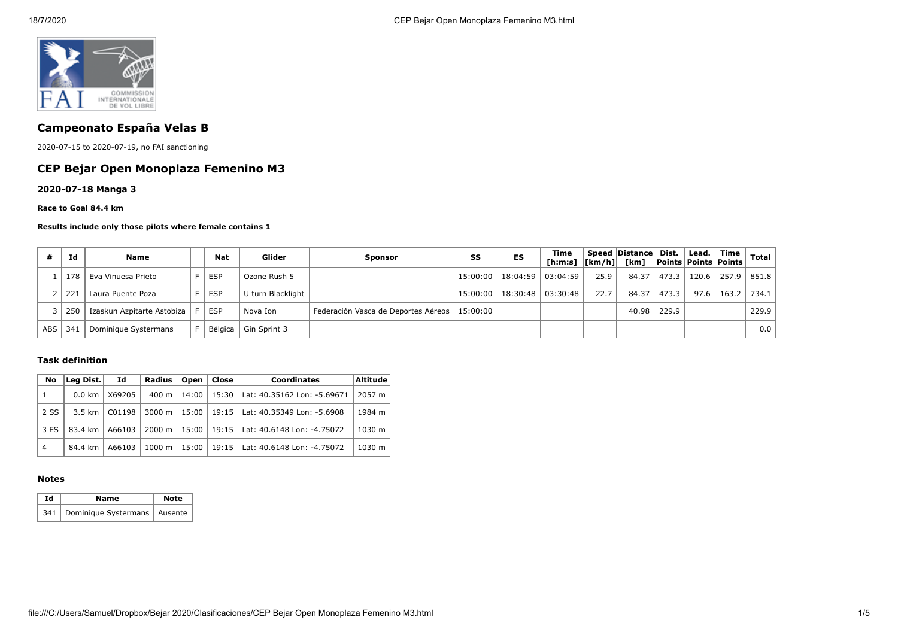

# **Campeonato España Velas B**

2020-07-15 to 2020-07-19, no FAI sanctioning

## **CEP Bejar Open Monoplaza Femenino M3**

**2020-07-18 Manga 3**

#### **Race to Goal 84.4 km**

#### **Results include only those pilots where female contains 1**

|            | Id  | <b>Name</b>                | <b>Nat</b> | Glider                 | <b>Sponsor</b>                      | SS       | ES                             | Time<br>[h:m:s] $ [km/h] $ [km] |      | Speed Distance Dist. |       | $\vert$ Lead. $\vert$ | $^{\circ}$ Time $_{\perp}$<br><b>Points Points Points</b> | <b>Total</b>    |
|------------|-----|----------------------------|------------|------------------------|-------------------------------------|----------|--------------------------------|---------------------------------|------|----------------------|-------|-----------------------|-----------------------------------------------------------|-----------------|
|            | 178 | Eva Vinuesa Prieto         | <b>ESP</b> | Ozone Rush 5           |                                     |          | 15:00:00   18:04:59   03:04:59 |                                 | 25.9 | 84.37                | 473.3 | 120.6                 | 257.9                                                     | 851.8           |
|            | 221 | Laura Puente Poza          | <b>ESP</b> | U turn Blacklight      |                                     |          | 15:00:00   18:30:48   03:30:48 |                                 | 22.7 | 84.37                | 473.3 | 97.6                  |                                                           | $163.2$   734.1 |
|            | 250 | Izaskun Azpitarte Astobiza | <b>ESP</b> | Nova Ion               | Federación Vasca de Deportes Aéreos | 15:00:00 |                                |                                 |      | 40.98                | 229.9 |                       |                                                           | 229.9           |
| <b>ABS</b> | 34. | Dominique Systermans       |            | Bélgica   Gin Sprint 3 |                                     |          |                                |                                 |      |                      |       |                       |                                                           | 0.0             |

### **Task definition**

| No             | Leg Dist.<br>Id                                  |        | Open  <br>Radius |         | Close                              | <b>Coordinates</b>                         | Altitude |  |
|----------------|--------------------------------------------------|--------|------------------|---------|------------------------------------|--------------------------------------------|----------|--|
| $\overline{1}$ | $0.0$ km $^{\prime}$                             | X69205 | 400 m            | $14:00$ |                                    | 15:30   Lat: 40.35162 Lon: -5.69671        | 2057 m   |  |
| 2 SS           | C01198<br>$3000 \; \text{m}$<br>$3.5$ km $\vert$ |        | $15:00$          |         | 19:15   Lat: 40.35349 Lon: -5.6908 | 1984 m                                     |          |  |
| 3 ES           | 83.4 km                                          | A66103 | 2000 m           |         |                                    | 15:00   19:15   Lat: 40.6148 Lon: -4.75072 | 1030 m   |  |
| $\overline{4}$ | 84.4 km                                          | A66103 | 1000 m           | 15:00   |                                    | 19:15   Lat: 40.6148 Lon: -4.75072         | 1030 m   |  |

### **Notes**

| Ιd | Name                                 | <b>Note</b> |
|----|--------------------------------------|-------------|
|    | 341   Dominique Systermans   Ausente |             |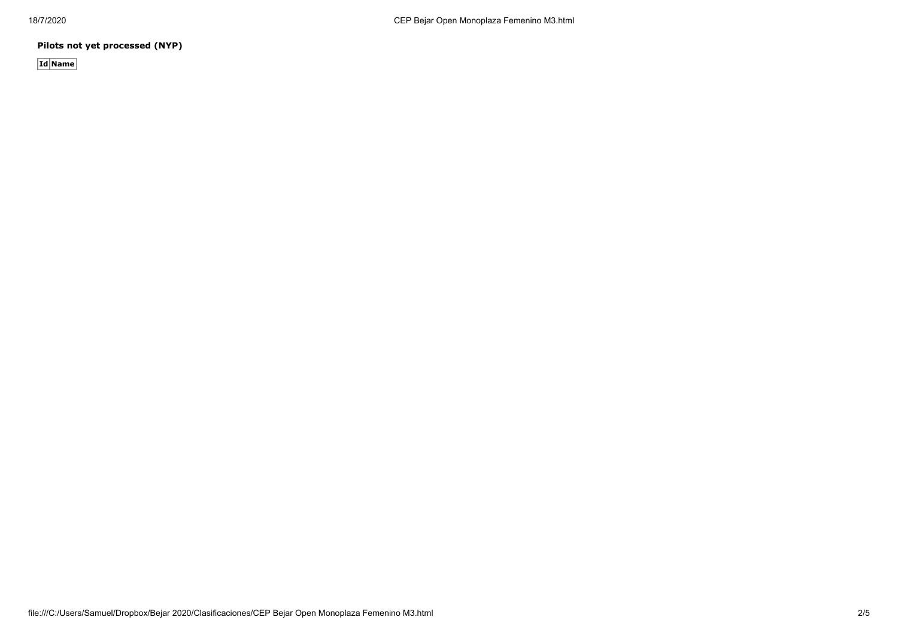**Pilots not yet processed (NYP)**

**Id Name**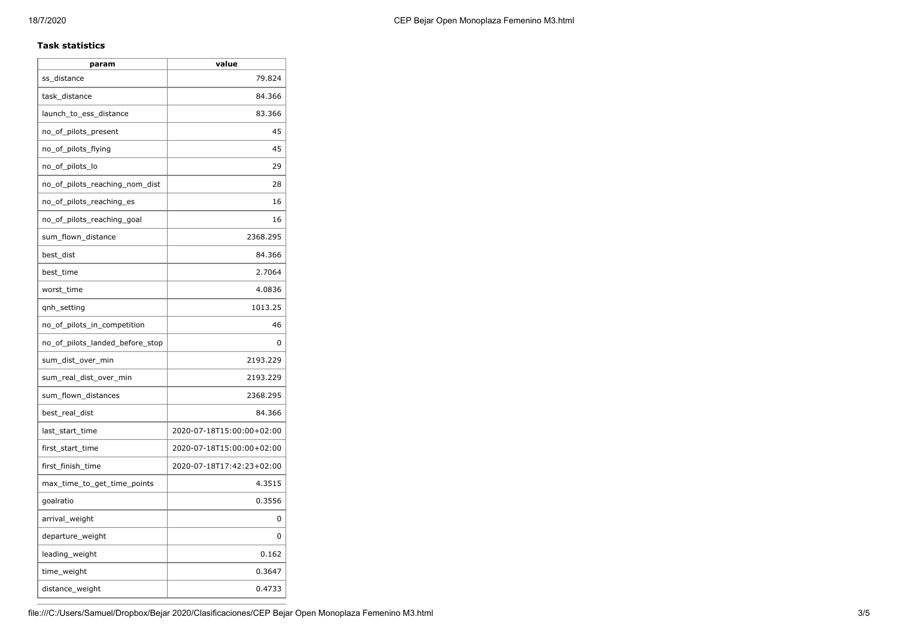### **Task statistics**

| param                           | value                     |
|---------------------------------|---------------------------|
| ss_distance                     | 79.824                    |
| task_distance                   | 84.366                    |
| launch_to_ess_distance          | 83.366                    |
| no_of_pilots_present            | 45                        |
| no_of_pilots_flying             | 45                        |
| no_of_pilots_lo                 | 29                        |
| no_of_pilots_reaching_nom_dist  | 28                        |
| no_of_pilots_reaching_es        | 16                        |
| no_of_pilots_reaching_goal      | 16                        |
| sum_flown_distance              | 2368.295                  |
| best_dist                       | 84.366                    |
| best_time                       | 2.7064                    |
| worst_time                      | 4.0836                    |
| qnh_setting                     | 1013.25                   |
| no_of_pilots_in_competition     | 46                        |
| no_of_pilots_landed_before_stop | 0                         |
| sum_dist_over_min               | 2193.229                  |
| sum real dist over min          | 2193.229                  |
| sum_flown_distances             | 2368.295                  |
| best_real_dist                  | 84.366                    |
| last start time                 | 2020-07-18T15:00:00+02:00 |
| first_start_time                | 2020-07-18T15:00:00+02:00 |
| first_finish_time               | 2020-07-18T17:42:23+02:00 |
| max_time_to_get_time_points     | 4.3515                    |
| goalratio                       | 0.3556                    |
| arrival_weight                  | 0                         |
| departure_weight                | 0                         |
| leading_weight                  | 0.162                     |
| time_weight                     | 0.3647                    |
| distance_weight                 | 0.4733                    |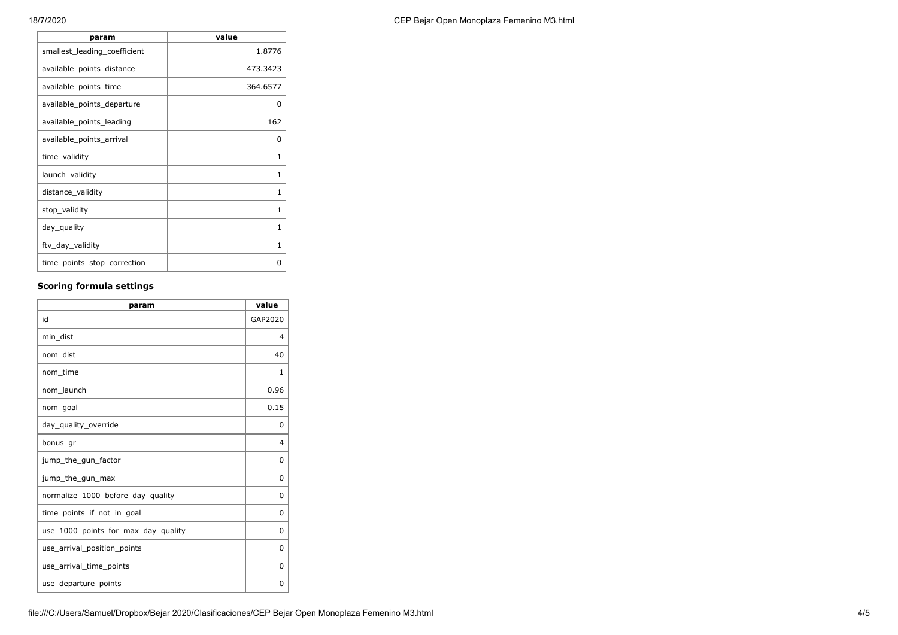**F** 

| param                        | value    |
|------------------------------|----------|
| smallest_leading_coefficient | 1.8776   |
| available_points_distance    | 473.3423 |
| available_points_time        | 364.6577 |
| available_points_departure   | 0        |
| available_points_leading     | 162      |
| available_points_arrival     | 0        |
| time_validity                | 1        |
| launch_validity              | 1        |
| distance_validity            | 1        |
| stop_validity                | 1        |
| day_quality                  | 1        |
| ftv_day_validity             | 1        |
| time_points_stop_correction  | O        |

## **Scoring formula settings**

| param                               | value   |
|-------------------------------------|---------|
| id                                  | GAP2020 |
| min dist                            | 4       |
| nom dist                            | 40      |
| nom_time                            | 1       |
| nom launch                          | 0.96    |
| nom goal                            | 0.15    |
| day_quality_override                | 0       |
| bonus_gr                            | 4       |
| jump_the_gun_factor                 | 0       |
| jump_the_gun_max                    | 0       |
| normalize_1000_before_day_quality   | 0       |
| time points if not in goal          | 0       |
| use_1000_points_for_max_day_quality | 0       |
| use_arrival_position_points         | 0       |
| use_arrival_time_points             | 0       |
| use_departure_points                | 0       |